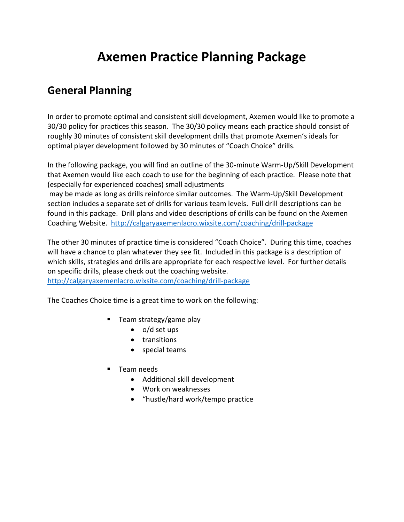# **Axemen Practice Planning Package**

## **General Planning**

In order to promote optimal and consistent skill development, Axemen would like to promote a 30/30 policy for practices this season. The 30/30 policy means each practice should consist of roughly 30 minutes of consistent skill development drills that promote Axemen's ideals for optimal player development followed by 30 minutes of "Coach Choice" drills.

In the following package, you will find an outline of the 30-minute Warm-Up/Skill Development that Axemen would like each coach to use for the beginning of each practice. Please note that (especially for experienced coaches) small adjustments

may be made as long as drills reinforce similar outcomes. The Warm-Up/Skill Development section includes a separate set of drills for various team levels. Full drill descriptions can be found in this package. Drill plans and video descriptions of drills can be found on the Axemen Coaching Website. <http://calgaryaxemenlacro.wixsite.com/coaching/drill-package>

The other 30 minutes of practice time is considered "Coach Choice". During this time, coaches will have a chance to plan whatever they see fit. Included in this package is a description of which skills, strategies and drills are appropriate for each respective level. For further details on specific drills, please check out the coaching website.

<http://calgaryaxemenlacro.wixsite.com/coaching/drill-package>

The Coaches Choice time is a great time to work on the following:

- Team strategy/game play
	- o/d set ups
	- transitions
	- special teams
- Team needs
	- Additional skill development
	- Work on weaknesses
	- "hustle/hard work/tempo practice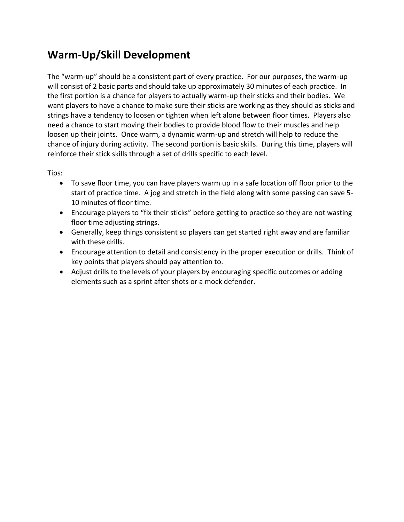## **Warm-Up/Skill Development**

The "warm-up" should be a consistent part of every practice. For our purposes, the warm-up will consist of 2 basic parts and should take up approximately 30 minutes of each practice. In the first portion is a chance for players to actually warm-up their sticks and their bodies. We want players to have a chance to make sure their sticks are working as they should as sticks and strings have a tendency to loosen or tighten when left alone between floor times. Players also need a chance to start moving their bodies to provide blood flow to their muscles and help loosen up their joints. Once warm, a dynamic warm-up and stretch will help to reduce the chance of injury during activity. The second portion is basic skills. During this time, players will reinforce their stick skills through a set of drills specific to each level.

Tips:

- To save floor time, you can have players warm up in a safe location off floor prior to the start of practice time. A jog and stretch in the field along with some passing can save 5- 10 minutes of floor time.
- Encourage players to "fix their sticks" before getting to practice so they are not wasting floor time adjusting strings.
- Generally, keep things consistent so players can get started right away and are familiar with these drills.
- Encourage attention to detail and consistency in the proper execution or drills. Think of key points that players should pay attention to.
- Adjust drills to the levels of your players by encouraging specific outcomes or adding elements such as a sprint after shots or a mock defender.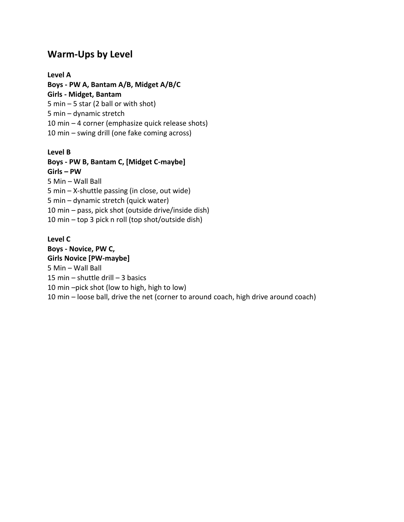### **Warm-Ups by Level**

**Level A Boys - PW A, Bantam A/B, Midget A/B/C Girls - Midget, Bantam** 5 min – 5 star (2 ball or with shot) 5 min – dynamic stretch 10 min – 4 corner (emphasize quick release shots) 10 min – swing drill (one fake coming across)

#### **Level B**

**Boys - PW B, Bantam C, [Midget C-maybe] Girls – PW** 5 Min – Wall Ball 5 min – X-shuttle passing (in close, out wide) 5 min – dynamic stretch (quick water) 10 min – pass, pick shot (outside drive/inside dish) 10 min – top 3 pick n roll (top shot/outside dish)

**Level C Boys - Novice, PW C, Girls Novice [PW-maybe]** 5 Min – Wall Ball 15 min – shuttle drill – 3 basics 10 min –pick shot (low to high, high to low) 10 min – loose ball, drive the net (corner to around coach, high drive around coach)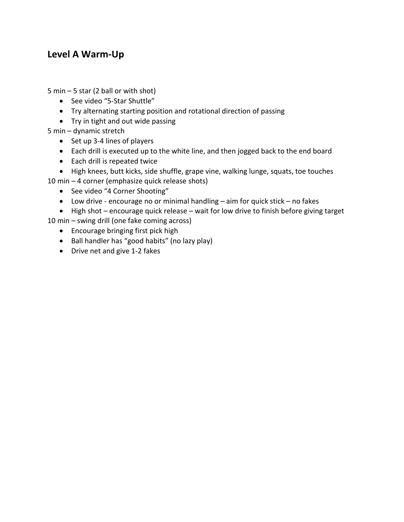## **Level A Warm-Up**

5 min – 5 star (2 ball or with shot)

- See video "5-Star Shuttle"
- Try alternating starting position and rotational direction of passing
- Try in tight and out wide passing

5 min – dynamic stretch

- Set up 3-4 lines of players
- Each drill is executed up to the white line, and then jogged back to the end board
- Each drill is repeated twice
- High knees, butt kicks, side shuffle, grape vine, walking lunge, squats, toe touches
- 10 min 4 corner (emphasize quick release shots)
	- See video "4 Corner Shooting"
	- Low drive encourage no or minimal handling aim for quick stick no fakes
	- High shot encourage quick release wait for low drive to finish before giving target

10 min – swing drill (one fake coming across)

- Encourage bringing first pick high
- Ball handler has "good habits" (no lazy play)
- Drive net and give 1-2 fakes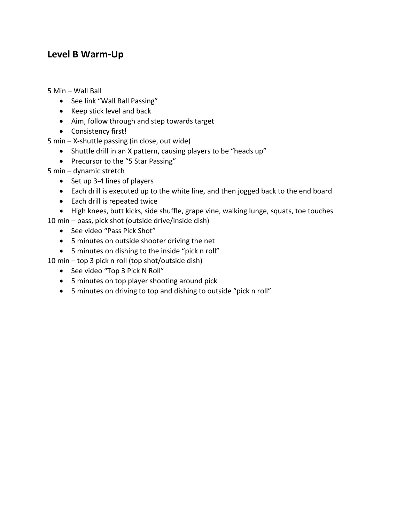### **Level B Warm-Up**

5 Min – Wall Ball

- See link "Wall Ball Passing"
- Keep stick level and back
- Aim, follow through and step towards target
- Consistency first!
- 5 min X-shuttle passing (in close, out wide)
	- Shuttle drill in an X pattern, causing players to be "heads up"
	- Precursor to the "5 Star Passing"
- 5 min dynamic stretch
	- Set up 3-4 lines of players
	- Each drill is executed up to the white line, and then jogged back to the end board
	- Each drill is repeated twice
	- High knees, butt kicks, side shuffle, grape vine, walking lunge, squats, toe touches
- 10 min pass, pick shot (outside drive/inside dish)
	- See video "Pass Pick Shot"
	- 5 minutes on outside shooter driving the net
	- 5 minutes on dishing to the inside "pick n roll"

10 min – top 3 pick n roll (top shot/outside dish)

- See video "Top 3 Pick N Roll"
- 5 minutes on top player shooting around pick
- 5 minutes on driving to top and dishing to outside "pick n roll"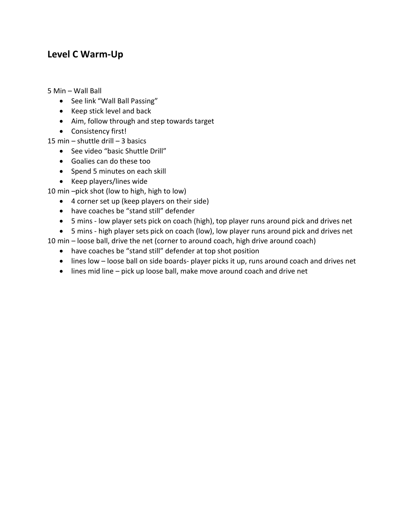## **Level C Warm-Up**

5 Min – Wall Ball

- See link "Wall Ball Passing"
- Keep stick level and back
- Aim, follow through and step towards target
- Consistency first!

15 min – shuttle drill – 3 basics

- See video "basic Shuttle Drill"
- Goalies can do these too
- Spend 5 minutes on each skill
- Keep players/lines wide

10 min –pick shot (low to high, high to low)

- 4 corner set up (keep players on their side)
- have coaches be "stand still" defender
- 5 mins low player sets pick on coach (high), top player runs around pick and drives net
- 5 mins high player sets pick on coach (low), low player runs around pick and drives net

10 min – loose ball, drive the net (corner to around coach, high drive around coach)

- have coaches be "stand still" defender at top shot position
- lines low loose ball on side boards- player picks it up, runs around coach and drives net
- lines mid line pick up loose ball, make move around coach and drive net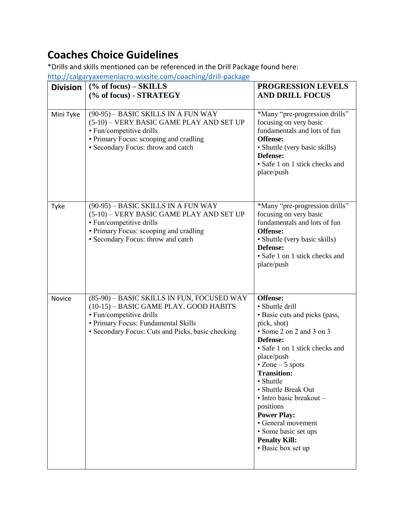## **Coaches Choice Guidelines**

\*Drills and skills mentioned can be referenced in the Drill Package found here:

<http://calgaryaxemenlacro.wixsite.com/coaching/drill-package>

| <b>Division</b> | $% of focus$ – SKILLS<br>(% of focus) - STRATEGY                                                                                                                                                             | PROGRESSION LEVELS<br><b>AND DRILL FOCUS</b>                                                                                                                                                                                                                                                                                                                                                                               |
|-----------------|--------------------------------------------------------------------------------------------------------------------------------------------------------------------------------------------------------------|----------------------------------------------------------------------------------------------------------------------------------------------------------------------------------------------------------------------------------------------------------------------------------------------------------------------------------------------------------------------------------------------------------------------------|
| Mini Tyke       | (90-95) - BASIC SKILLS IN A FUN WAY<br>(5-10) - VERY BASIC GAME PLAY AND SET UP<br>• Fun/competitive drills<br>• Primary Focus: scooping and cradling<br>• Secondary Focus: throw and catch                  | *Many "pre-progression drills"<br>focusing on very basic<br>fundamentals and lots of fun<br><b>Offense:</b><br>· Shuttle (very basic skills)<br>Defense:<br>• Safe 1 on 1 stick checks and<br>place/push                                                                                                                                                                                                                   |
| Tyke            | (90-95) - BASIC SKILLS IN A FUN WAY<br>(5-10) – VERY BASIC GAME PLAY AND SET UP<br>• Fun/competitive drills<br>• Primary Focus: scooping and cradling<br>• Secondary Focus: throw and catch                  | *Many "pre-progression drills"<br>focusing on very basic<br>fundamentals and lots of fun<br><b>Offense:</b><br>• Shuttle (very basic skills)<br>Defense:<br>• Safe 1 on 1 stick checks and<br>place/push                                                                                                                                                                                                                   |
| Novice          | (85-90) – BASIC SKILLS IN FUN, FOCUSED WAY<br>(10-15) - BASIC GAME PLAY, GOOD HABITS<br>• Fun/competitive drills<br>• Primary Focus: Fundamental Skills<br>• Secondary Focus: Cuts and Picks, basic checking | <b>Offense:</b><br>• Shuttle drill<br>• Basic cuts and picks (pass,<br>pick, shot)<br>• Some 2 on 2 and 3 on 3<br>Defense:<br>• Safe 1 on 1 stick checks and<br>place/push<br>$\cdot$ Zone $-5$ spots<br><b>Transition:</b><br>• Shuttle<br>• Shuttle Break Out<br>• Intro basic breakout –<br>positions<br><b>Power Play:</b><br>• General movement<br>· Some basic set ups<br><b>Penalty Kill:</b><br>• Basic box set up |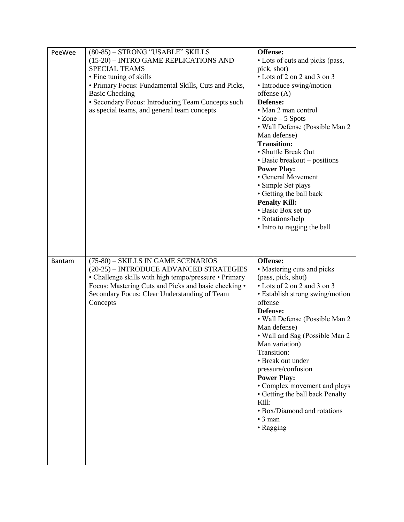| PeeWee | (80-85) – STRONG "USABLE" SKILLS                      | <b>Offense:</b>                                                 |
|--------|-------------------------------------------------------|-----------------------------------------------------------------|
|        | (15-20) - INTRO GAME REPLICATIONS AND                 | • Lots of cuts and picks (pass,                                 |
|        | <b>SPECIAL TEAMS</b>                                  | pick, shot)                                                     |
|        | • Fine tuning of skills                               | • Lots of 2 on 2 and 3 on 3                                     |
|        | • Primary Focus: Fundamental Skills, Cuts and Picks,  | • Introduce swing/motion                                        |
|        | <b>Basic Checking</b>                                 | offense $(A)$                                                   |
|        | • Secondary Focus: Introducing Team Concepts such     | Defense:                                                        |
|        | as special teams, and general team concepts           | • Man 2 man control                                             |
|        |                                                       | $\cdot$ Zone – 5 Spots                                          |
|        |                                                       | · Wall Defense (Possible Man 2                                  |
|        |                                                       | Man defense)                                                    |
|        |                                                       | <b>Transition:</b>                                              |
|        |                                                       | · Shuttle Break Out                                             |
|        |                                                       | $\bullet$ Basic breakout – positions                            |
|        |                                                       | <b>Power Play:</b>                                              |
|        |                                                       | • General Movement                                              |
|        |                                                       | • Simple Set plays                                              |
|        |                                                       | • Getting the ball back                                         |
|        |                                                       | <b>Penalty Kill:</b>                                            |
|        |                                                       | · Basic Box set up                                              |
|        |                                                       | • Rotations/help                                                |
|        |                                                       | • Intro to ragging the ball                                     |
|        |                                                       |                                                                 |
|        |                                                       |                                                                 |
|        |                                                       |                                                                 |
|        |                                                       |                                                                 |
| Bantam | (75-80) – SKILLS IN GAME SCENARIOS                    | Offense:                                                        |
|        | (20-25) – INTRODUCE ADVANCED STRATEGIES               | • Mastering cuts and picks                                      |
|        | • Challenge skills with high tempo/pressure • Primary | (pass, pick, shot)                                              |
|        | Focus: Mastering Cuts and Picks and basic checking .  | • Lots of 2 on 2 and 3 on 3                                     |
|        | Secondary Focus: Clear Understanding of Team          | • Establish strong swing/motion                                 |
|        | Concepts                                              | offense                                                         |
|        |                                                       | Defense:                                                        |
|        |                                                       | • Wall Defense (Possible Man 2                                  |
|        |                                                       | Man defense)                                                    |
|        |                                                       | • Wall and Sag (Possible Man 2                                  |
|        |                                                       | Man variation)                                                  |
|        |                                                       | Transition:<br>• Break out under                                |
|        |                                                       | pressure/confusion                                              |
|        |                                                       | <b>Power Play:</b>                                              |
|        |                                                       |                                                                 |
|        |                                                       | • Complex movement and plays<br>• Getting the ball back Penalty |
|        |                                                       | Kill:                                                           |
|        |                                                       | · Box/Diamond and rotations                                     |
|        |                                                       | $\cdot$ 3 man                                                   |
|        |                                                       | • Ragging                                                       |
|        |                                                       |                                                                 |
|        |                                                       |                                                                 |
|        |                                                       |                                                                 |